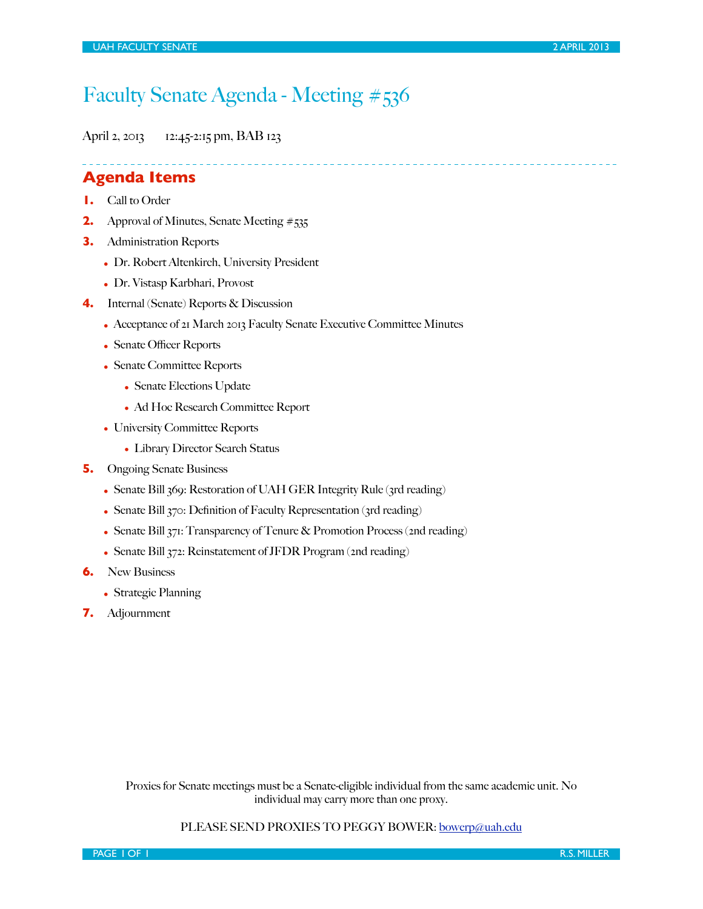# Faculty Senate Agenda - Meeting #536

April 2, 2013 12:45-2:15 pm, BAB 123

**Agenda Items**

- **1.** Call to Order
- **2.** Approval of Minutes, Senate Meeting #535
- **3.** Administration Reports
	- Dr. Robert Altenkirch, University President
	- Dr. Vistasp Karbhari, Provost
- **4.** Internal (Senate) Reports & Discussion
	- Acceptance of 21 March 2013 Faculty Senate Executive Committee Minutes
	- Senate Officer Reports
	- Senate Committee Reports
		- Senate Elections Update
		- Ad Hoc Research Committee Report
	- University Committee Reports
		- Library Director Search Status
- **5.** Ongoing Senate Business
	- Senate Bill 369: Restoration of UAH GER Integrity Rule (3rd reading)
	- Senate Bill 370: Definition of Faculty Representation (3rd reading)
	- Senate Bill 371: Transparency of Tenure & Promotion Process (2nd reading)
	- Senate Bill 372: Reinstatement of JFDR Program (2nd reading)
- **6.** New Business
	- Strategic Planning
- **7.** Adjournment

Proxies for Senate meetings must be a Senate-eligible individual from the same academic unit. No individual may carry more than one proxy.

#### PLEASE SEND PROXIES TO PEGGY BOWER: [bowerp@uah.edu](mailto:bowerp@uah.edu)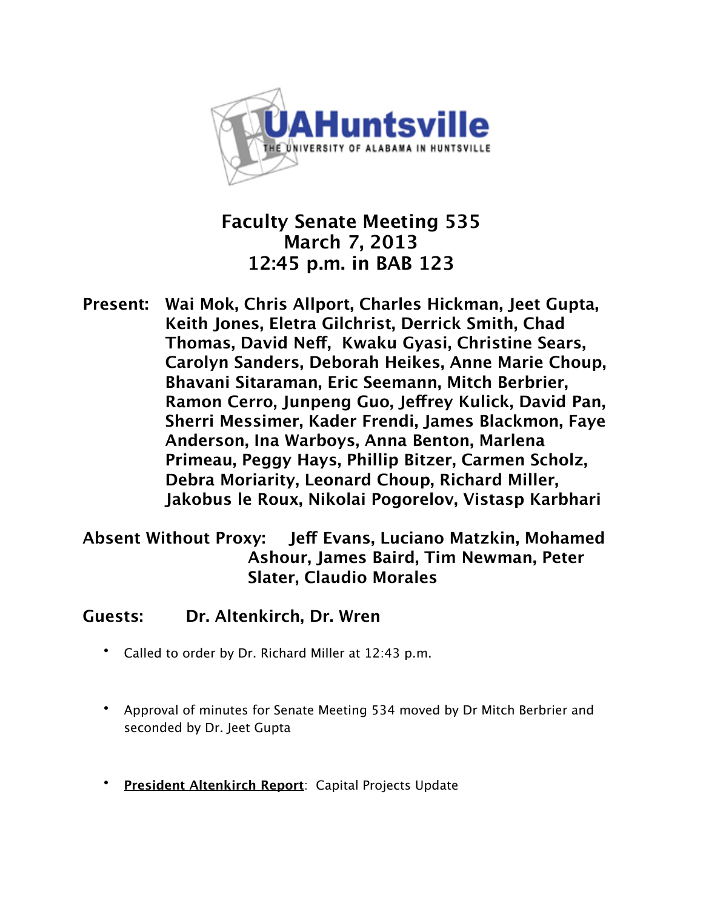

## **Faculty Senate Meeting 535 March 7, 2013 12:45 p.m. in BAB 123**

**Present: Wai Mok, Chris Allport, Charles Hickman, Jeet Gupta, Keith Jones, Eletra Gilchrist, Derrick Smith, Chad Thomas, David Ne!, Kwaku Gyasi, Christine Sears, Carolyn Sanders, Deborah Heikes, Anne Marie Choup, Bhavani Sitaraman, Eric Seemann, Mitch Berbrier, Ramon Cerro, Junpeng Guo, Je!rey Kulick, David Pan, Sherri Messimer, Kader Frendi, James Blackmon, Faye Anderson, Ina Warboys, Anna Benton, Marlena Primeau, Peggy Hays, Phillip Bitzer, Carmen Scholz, Debra Moriarity, Leonard Choup, Richard Miller, Jakobus le Roux, Nikolai Pogorelov, Vistasp Karbhari**

**Absent Without Proxy: Je! Evans, Luciano Matzkin, Mohamed Ashour, James Baird, Tim Newman, Peter Slater, Claudio Morales**

**Guests: Dr. Altenkirch, Dr. Wren**

- Called to order by Dr. Richard Miller at 12:43 p.m.
- Approval of minutes for Senate Meeting 534 moved by Dr Mitch Berbrier and seconded by Dr. Jeet Gupta
- **President Altenkirch Report**: Capital Projects Update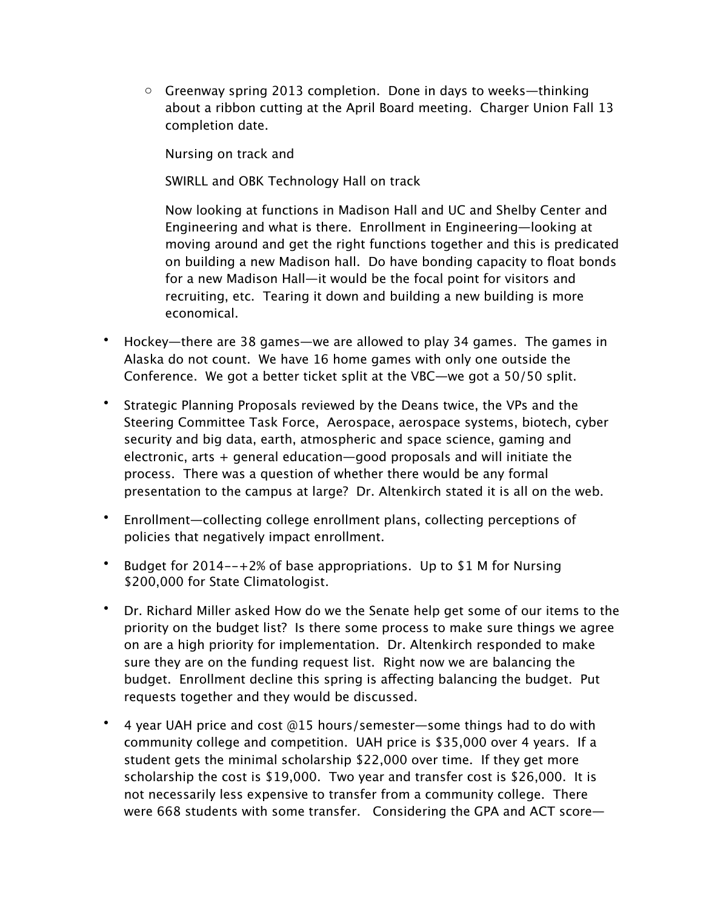$\circ$  Greenway spring 2013 completion. Done in days to weeks—thinking about a ribbon cutting at the April Board meeting. Charger Union Fall 13 completion date.

Nursing on track and

SWIRLL and OBK Technology Hall on track

Now looking at functions in Madison Hall and UC and Shelby Center and Engineering and what is there. Enrollment in Engineering—looking at moving around and get the right functions together and this is predicated on building a new Madison hall. Do have bonding capacity to float bonds for a new Madison Hall—it would be the focal point for visitors and recruiting, etc. Tearing it down and building a new building is more economical.

- Hockey—there are 38 games—we are allowed to play 34 games. The games in Alaska do not count. We have 16 home games with only one outside the Conference. We got a better ticket split at the VBC—we got a 50/50 split.
- Strategic Planning Proposals reviewed by the Deans twice, the VPs and the Steering Committee Task Force, Aerospace, aerospace systems, biotech, cyber security and big data, earth, atmospheric and space science, gaming and electronic, arts + general education—good proposals and will initiate the process. There was a question of whether there would be any formal presentation to the campus at large? Dr. Altenkirch stated it is all on the web.
- Enrollment—collecting college enrollment plans, collecting perceptions of policies that negatively impact enrollment.
- Budget for 2014--+2% of base appropriations. Up to \$1 M for Nursing \$200,000 for State Climatologist.
- Dr. Richard Miller asked How do we the Senate help get some of our items to the priority on the budget list? Is there some process to make sure things we agree on are a high priority for implementation. Dr. Altenkirch responded to make sure they are on the funding request list. Right now we are balancing the budget. Enrollment decline this spring is affecting balancing the budget. Put requests together and they would be discussed.
- 4 year UAH price and cost @15 hours/semester—some things had to do with community college and competition. UAH price is \$35,000 over 4 years. If a student gets the minimal scholarship \$22,000 over time. If they get more scholarship the cost is \$19,000. Two year and transfer cost is \$26,000. It is not necessarily less expensive to transfer from a community college. There were 668 students with some transfer. Considering the GPA and ACT score—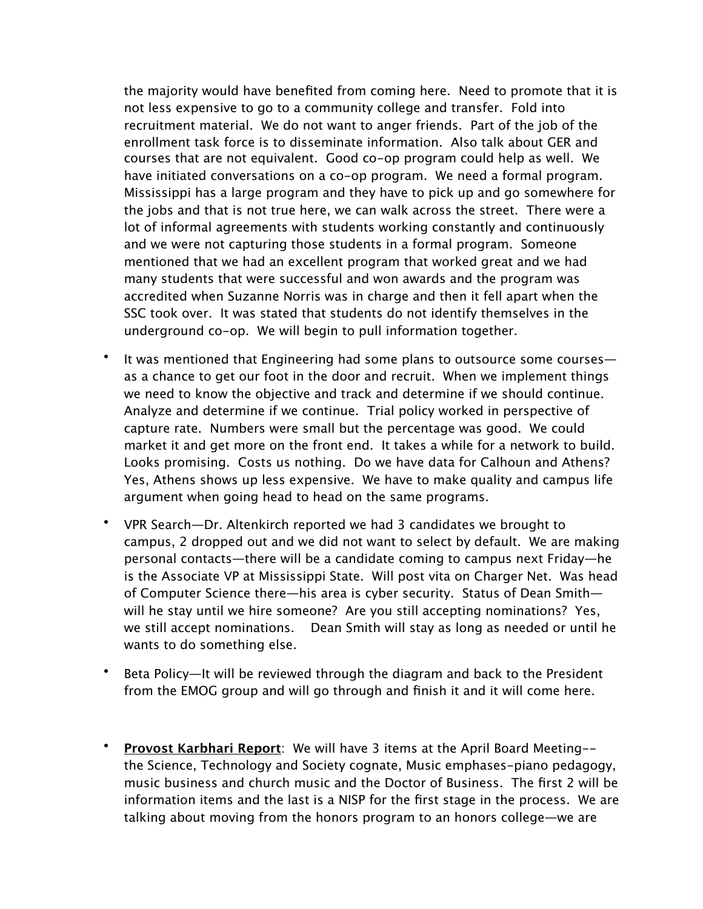the majority would have benefited from coming here. Need to promote that it is not less expensive to go to a community college and transfer. Fold into recruitment material. We do not want to anger friends. Part of the job of the enrollment task force is to disseminate information. Also talk about GER and courses that are not equivalent. Good co-op program could help as well. We have initiated conversations on a co-op program. We need a formal program. Mississippi has a large program and they have to pick up and go somewhere for the jobs and that is not true here, we can walk across the street. There were a lot of informal agreements with students working constantly and continuously and we were not capturing those students in a formal program. Someone mentioned that we had an excellent program that worked great and we had many students that were successful and won awards and the program was accredited when Suzanne Norris was in charge and then it fell apart when the SSC took over. It was stated that students do not identify themselves in the underground co-op. We will begin to pull information together.

- It was mentioned that Engineering had some plans to outsource some courses as a chance to get our foot in the door and recruit. When we implement things we need to know the objective and track and determine if we should continue. Analyze and determine if we continue. Trial policy worked in perspective of capture rate. Numbers were small but the percentage was good. We could market it and get more on the front end. It takes a while for a network to build. Looks promising. Costs us nothing. Do we have data for Calhoun and Athens? Yes, Athens shows up less expensive. We have to make quality and campus life argument when going head to head on the same programs.
- VPR Search—Dr. Altenkirch reported we had 3 candidates we brought to campus, 2 dropped out and we did not want to select by default. We are making personal contacts—there will be a candidate coming to campus next Friday—he is the Associate VP at Mississippi State. Will post vita on Charger Net. Was head of Computer Science there—his area is cyber security. Status of Dean Smith will he stay until we hire someone? Are you still accepting nominations? Yes, we still accept nominations. Dean Smith will stay as long as needed or until he wants to do something else.
- Beta Policy—It will be reviewed through the diagram and back to the President from the EMOG group and will go through and finish it and it will come here.
- **Provost Karbhari Report**: We will have 3 items at the April Board Meeting- the Science, Technology and Society cognate, Music emphases-piano pedagogy, music business and church music and the Doctor of Business. The first 2 will be information items and the last is a NISP for the first stage in the process. We are talking about moving from the honors program to an honors college—we are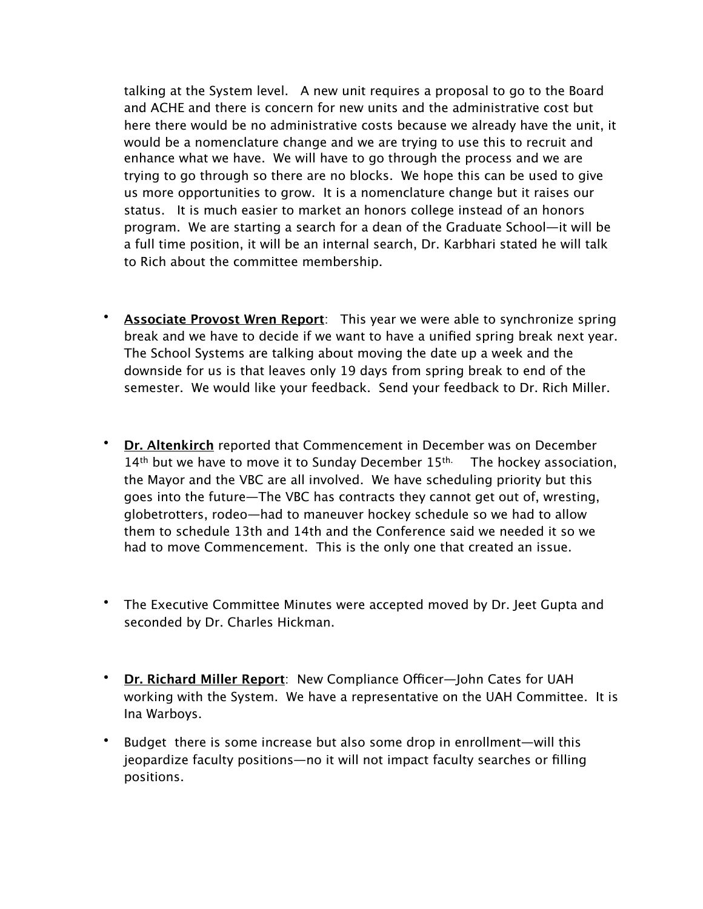talking at the System level. A new unit requires a proposal to go to the Board and ACHE and there is concern for new units and the administrative cost but here there would be no administrative costs because we already have the unit, it would be a nomenclature change and we are trying to use this to recruit and enhance what we have. We will have to go through the process and we are trying to go through so there are no blocks. We hope this can be used to give us more opportunities to grow. It is a nomenclature change but it raises our status. It is much easier to market an honors college instead of an honors program. We are starting a search for a dean of the Graduate School—it will be a full time position, it will be an internal search, Dr. Karbhari stated he will talk to Rich about the committee membership.

- **Associate Provost Wren Report**: This year we were able to synchronize spring break and we have to decide if we want to have a unified spring break next year. The School Systems are talking about moving the date up a week and the downside for us is that leaves only 19 days from spring break to end of the semester. We would like your feedback. Send your feedback to Dr. Rich Miller.
- **Dr. Altenkirch** reported that Commencement in December was on December  $14<sup>th</sup>$  but we have to move it to Sunday December  $15<sup>th</sup>$ . The hockey association, the Mayor and the VBC are all involved. We have scheduling priority but this goes into the future—The VBC has contracts they cannot get out of, wresting, globetrotters, rodeo—had to maneuver hockey schedule so we had to allow them to schedule 13th and 14th and the Conference said we needed it so we had to move Commencement. This is the only one that created an issue.
- The Executive Committee Minutes were accepted moved by Dr. Jeet Gupta and seconded by Dr. Charles Hickman.
- Dr. Richard Miller Report: New Compliance Officer—John Cates for UAH working with the System. We have a representative on the UAH Committee. It is Ina Warboys.
- Budget there is some increase but also some drop in enrollment—will this jeopardize faculty positions—no it will not impact faculty searches or filling positions.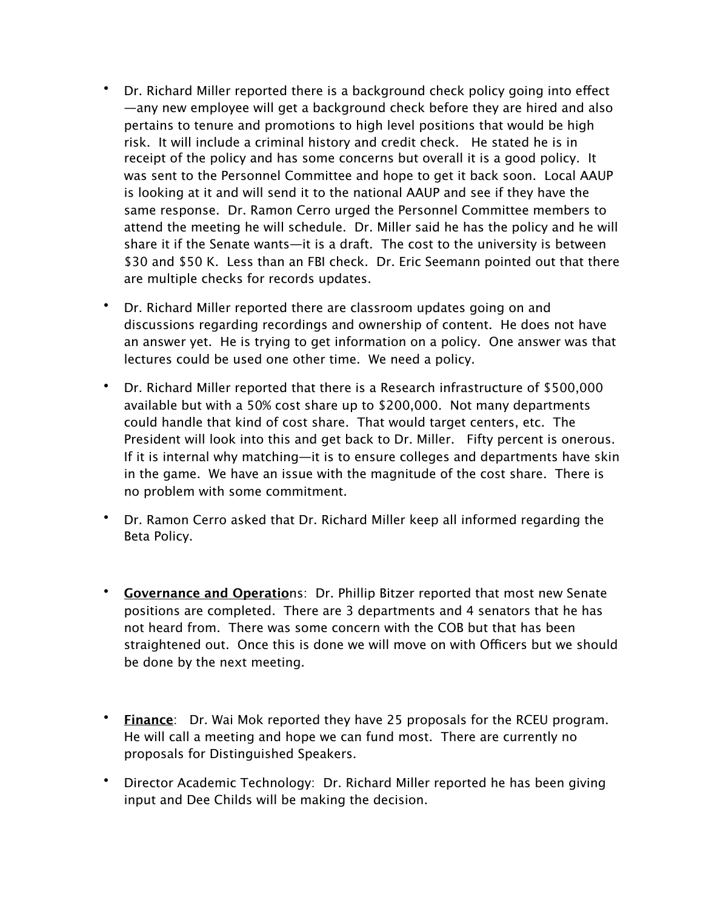- Dr. Richard Miller reported there is a background check policy going into effect —any new employee will get a background check before they are hired and also pertains to tenure and promotions to high level positions that would be high risk. It will include a criminal history and credit check. He stated he is in receipt of the policy and has some concerns but overall it is a good policy. It was sent to the Personnel Committee and hope to get it back soon. Local AAUP is looking at it and will send it to the national AAUP and see if they have the same response. Dr. Ramon Cerro urged the Personnel Committee members to attend the meeting he will schedule. Dr. Miller said he has the policy and he will share it if the Senate wants—it is a draft. The cost to the university is between \$30 and \$50 K. Less than an FBI check. Dr. Eric Seemann pointed out that there are multiple checks for records updates.
- Dr. Richard Miller reported there are classroom updates going on and discussions regarding recordings and ownership of content. He does not have an answer yet. He is trying to get information on a policy. One answer was that lectures could be used one other time. We need a policy.
- Dr. Richard Miller reported that there is a Research infrastructure of \$500,000 available but with a 50% cost share up to \$200,000. Not many departments could handle that kind of cost share. That would target centers, etc. The President will look into this and get back to Dr. Miller. Fifty percent is onerous. If it is internal why matching—it is to ensure colleges and departments have skin in the game. We have an issue with the magnitude of the cost share. There is no problem with some commitment.
- Dr. Ramon Cerro asked that Dr. Richard Miller keep all informed regarding the Beta Policy.
- **Governance and Operatio**ns: Dr. Phillip Bitzer reported that most new Senate positions are completed. There are 3 departments and 4 senators that he has not heard from. There was some concern with the COB but that has been straightened out. Once this is done we will move on with Officers but we should be done by the next meeting.
- **Finance**: Dr. Wai Mok reported they have 25 proposals for the RCEU program. He will call a meeting and hope we can fund most. There are currently no proposals for Distinguished Speakers.
- Director Academic Technology: Dr. Richard Miller reported he has been giving input and Dee Childs will be making the decision.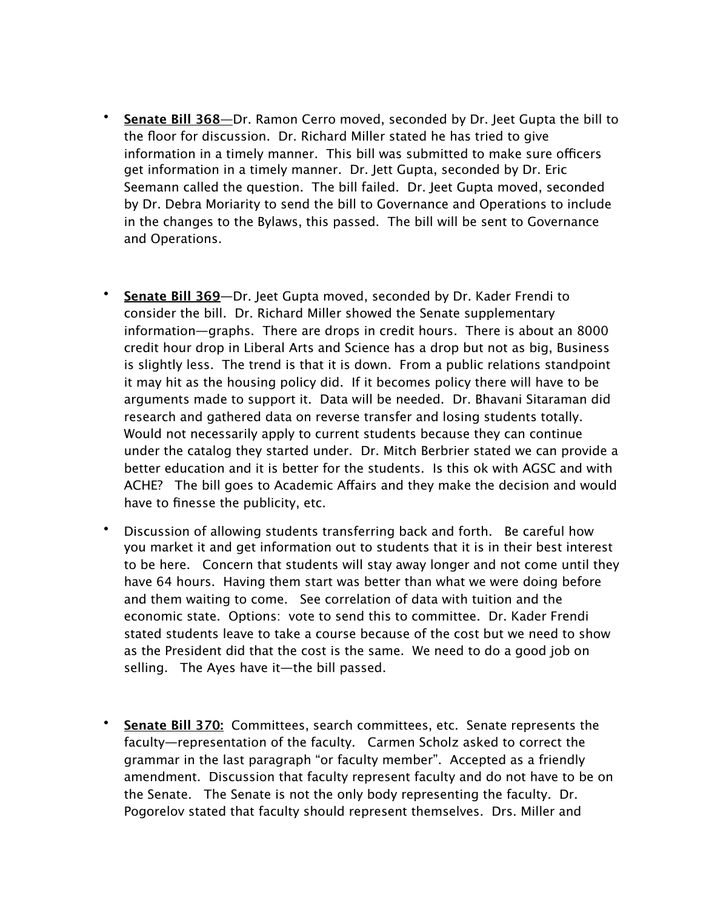- **Senate Bill 368—**Dr. Ramon Cerro moved, seconded by Dr. Jeet Gupta the bill to the floor for discussion. Dr. Richard Miller stated he has tried to give information in a timely manner. This bill was submitted to make sure officers get information in a timely manner. Dr. Jett Gupta, seconded by Dr. Eric Seemann called the question. The bill failed. Dr. Jeet Gupta moved, seconded by Dr. Debra Moriarity to send the bill to Governance and Operations to include in the changes to the Bylaws, this passed. The bill will be sent to Governance and Operations.
- **Senate Bill 369**—Dr. Jeet Gupta moved, seconded by Dr. Kader Frendi to consider the bill. Dr. Richard Miller showed the Senate supplementary information—graphs. There are drops in credit hours. There is about an 8000 credit hour drop in Liberal Arts and Science has a drop but not as big, Business is slightly less. The trend is that it is down. From a public relations standpoint it may hit as the housing policy did. If it becomes policy there will have to be arguments made to support it. Data will be needed. Dr. Bhavani Sitaraman did research and gathered data on reverse transfer and losing students totally. Would not necessarily apply to current students because they can continue under the catalog they started under. Dr. Mitch Berbrier stated we can provide a better education and it is better for the students. Is this ok with AGSC and with ACHE? The bill goes to Academic Affairs and they make the decision and would have to finesse the publicity, etc.
- Discussion of allowing students transferring back and forth. Be careful how you market it and get information out to students that it is in their best interest to be here. Concern that students will stay away longer and not come until they have 64 hours. Having them start was better than what we were doing before and them waiting to come. See correlation of data with tuition and the economic state. Options: vote to send this to committee. Dr. Kader Frendi stated students leave to take a course because of the cost but we need to show as the President did that the cost is the same. We need to do a good job on selling. The Ayes have it—the bill passed.
- **Senate Bill 370:** Committees, search committees, etc. Senate represents the faculty—representation of the faculty. Carmen Scholz asked to correct the grammar in the last paragraph "or faculty member". Accepted as a friendly amendment. Discussion that faculty represent faculty and do not have to be on the Senate. The Senate is not the only body representing the faculty. Dr. Pogorelov stated that faculty should represent themselves. Drs. Miller and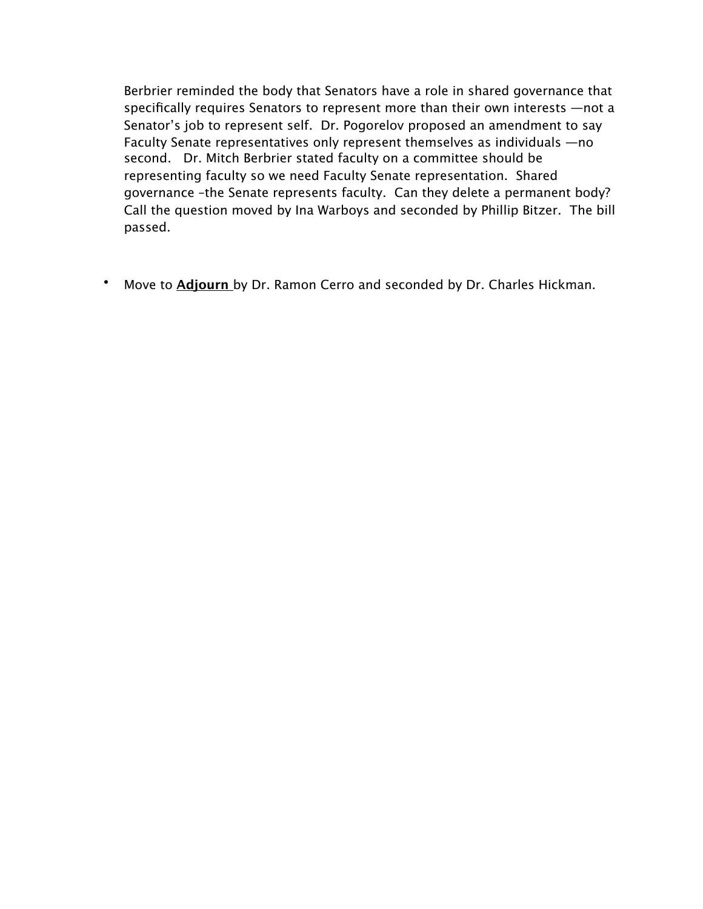Berbrier reminded the body that Senators have a role in shared governance that specifically requires Senators to represent more than their own interests —not a Senator's job to represent self. Dr. Pogorelov proposed an amendment to say Faculty Senate representatives only represent themselves as individuals —no second. Dr. Mitch Berbrier stated faculty on a committee should be representing faculty so we need Faculty Senate representation. Shared governance –the Senate represents faculty. Can they delete a permanent body? Call the question moved by Ina Warboys and seconded by Phillip Bitzer. The bill passed.

• Move to **Adjourn** by Dr. Ramon Cerro and seconded by Dr. Charles Hickman.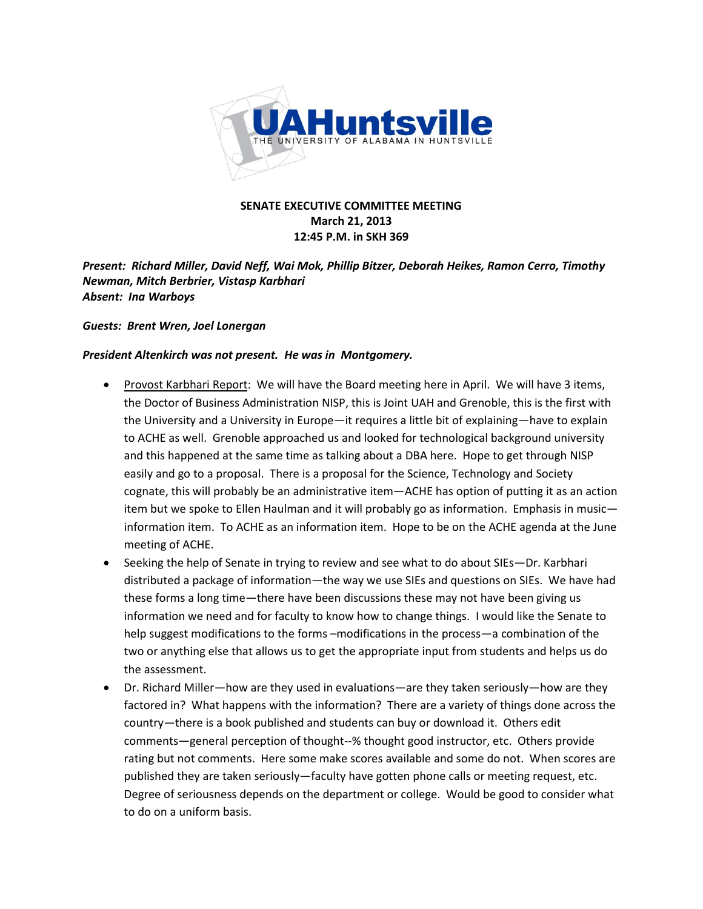

### **SENATE EXECUTIVE COMMITTEE MEETING March 21, 2013 12:45 P.M. in SKH 369**

*Present: Richard Miller, David Neff, Wai Mok, Phillip Bitzer, Deborah Heikes, Ramon Cerro, Timothy Newman, Mitch(Berbrier, Vistasp(Karbhari* **Absent: Ina Warboys** 

#### **Guests: Brent Wren, Joel Lonergan**

#### *President Altenkirch was not present. He was in Montgomery.*

- Provost Karbhari Report: We will have the Board meeting here in April. We will have 3 items, the Doctor of Business Administration NISP, this is Joint UAH and Grenoble, this is the first with the University and a University in Europe—it requires a little bit of explaining—have to explain to ACHE as well. Grenoble approached us and looked for technological background university and this happened at the same time as talking about a DBA here. Hope to get through NISP easily and go to a proposal. There is a proposal for the Science, Technology and Society cognate, this will probably be an administrative item - ACHE has option of putting it as an action item but we spoke to Ellen Haulman and it will probably go as information. Emphasis in music information item. To ACHE as an information item. Hope to be on the ACHE agenda at the June meeting of ACHE.
- Seeking the help of Senate in trying to review and see what to do about SIEs–Dr. Karbhari distributed a package of information—the way we use SIEs and questions on SIEs. We have had these forms a long time-there have been discussions these may not have been giving us information we need and for faculty to know how to change things. I would like the Senate to help suggest modifications to the forms  $-$ modifications in the process—a combination of the two or anything else that allows us to get the appropriate input from students and helps us do the assessment.
- Dr. Richard Miller—how are they used in evaluations—are they taken seriously—how are they factored in? What happens with the information? There are a variety of things done across the country—there is a book published and students can buy or download it. Others edit comments-general perception of thought--% thought good instructor, etc. Others provide rating but not comments. Here some make scores available and some do not. When scores are published they are taken seriously—faculty have gotten phone calls or meeting request, etc. Degree of seriousness depends on the department or college. Would be good to consider what to do on a uniform basis.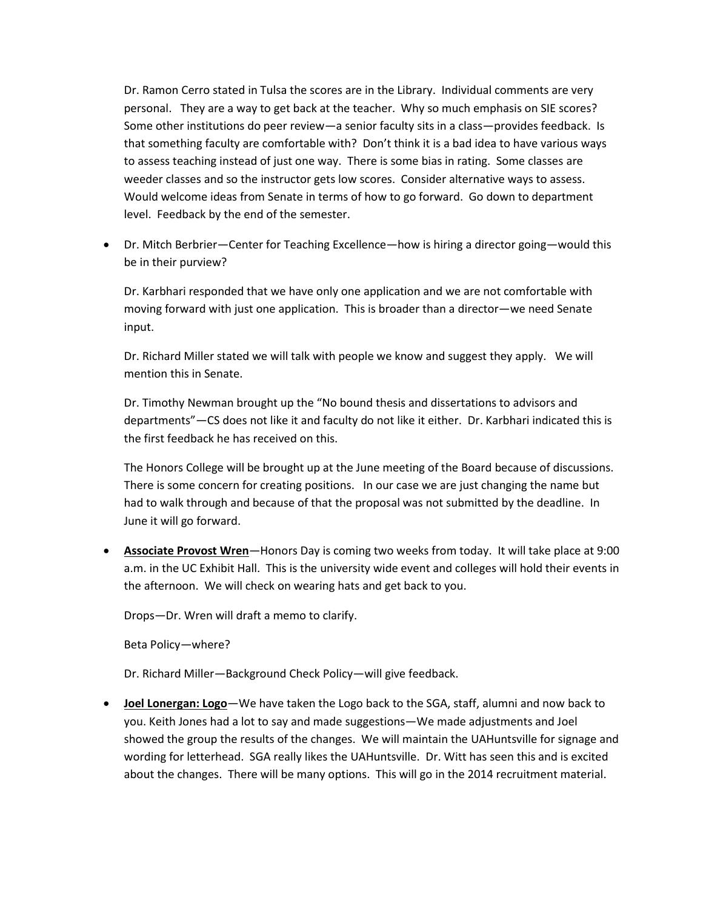Dr. Ramon Cerro stated in Tulsa the scores are in the Library. Individual comments are very personal. They are a way to get back at the teacher. Why so much emphasis on SIE scores? Some other institutions do peer review - a senior faculty sits in a class - provides feedback. Is that something faculty are comfortable with? Don't think it is a bad idea to have various ways to assess teaching instead of just one way. There is some bias in rating. Some classes are weeder classes and so the instructor gets low scores. Consider alternative ways to assess. Would welcome ideas from Senate in terms of how to go forward. Go down to department level. Feedback by the end of the semester.

• Dr. Mitch Berbrier–Center for Teaching Excellence–how is hiring a director going–would this be in their purview?

Dr. Karbhari responded that we have only one application and we are not comfortable with moving forward with just one application. This is broader than a director—we need Senate input.

Dr. Richard Miller stated we will talk with people we know and suggest they apply. We will mention this in Senate.

Dr. Timothy Newman brought up the "No bound thesis and dissertations to advisors and departments"—CS does not like it and faculty do not like it either. Dr. Karbhari indicated this is the first feedback he has received on this.

The Honors College will be brought up at the June meeting of the Board because of discussions. There is some concern for creating positions. In our case we are just changing the name but had to walk through and because of that the proposal was not submitted by the deadline. In June it will go forward.

**• Associate Provost Wren**—Honors Day is coming two weeks from today. It will take place at 9:00 a.m. in the UC Exhibit Hall. This is the university wide event and colleges will hold their events in the afternoon. We will check on wearing hats and get back to you.

Drops-Dr. Wren will draft a memo to clarify.

Beta Policy – where?

Dr. Richard Miller-Background Check Policy-will give feedback.

**•** Joel Lonergan: Logo - We have taken the Logo back to the SGA, staff, alumni and now back to you. Keith Jones had a lot to say and made suggestions–We made adjustments and Joel showed the group the results of the changes. We will maintain the UAHuntsville for signage and wording for letterhead. SGA really likes the UAHuntsville. Dr. Witt has seen this and is excited about the changes. There will be many options. This will go in the 2014 recruitment material.